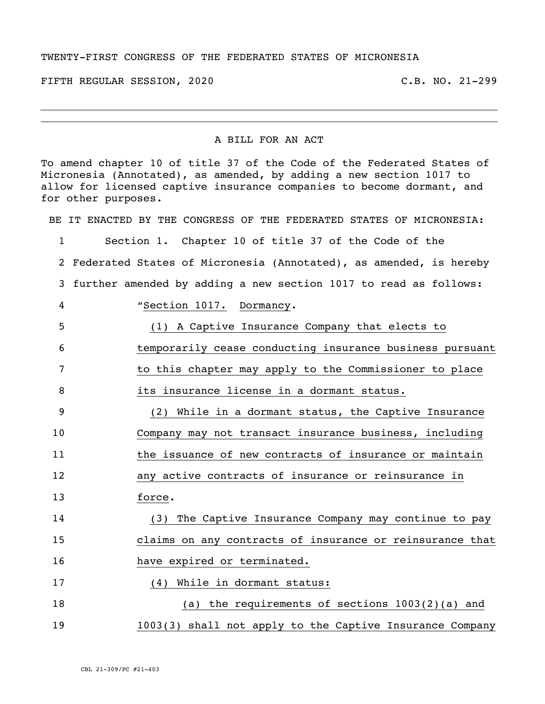## TWENTY-FIRST CONGRESS OF THE FEDERATED STATES OF MICRONESIA

FIFTH REGULAR SESSION, 2020 C.B. NO. 21-299

## A BILL FOR AN ACT

To amend chapter 10 of title 37 of the Code of the Federated States of Micronesia (Annotated), as amended, by adding a new section 1017 to allow for licensed captive insurance companies to become dormant, and for other purposes.

BE IT ENACTED BY THE CONGRESS OF THE FEDERATED STATES OF MICRONESIA:

 Section 1. Chapter 10 of title 37 of the Code of the Federated States of Micronesia (Annotated), as amended, is hereby further amended by adding a new section 1017 to read as follows: "Section 1017. Dormancy. (1) A Captive Insurance Company that elects to temporarily cease conducting insurance business pursuant to this chapter may apply to the Commissioner to place 8 its insurance license in a dormant status. (2) While in a dormant status, the Captive Insurance Company may not transact insurance business, including 11 the issuance of new contracts of insurance or maintain any active contracts of insurance or reinsurance in 13 force. (3) The Captive Insurance Company may continue to pay claims on any contracts of insurance or reinsurance that 16 have expired or terminated. 17 (4) While in dormant status: (a) the requirements of sections 1003(2)(a) and 1003(3) shall not apply to the Captive Insurance Company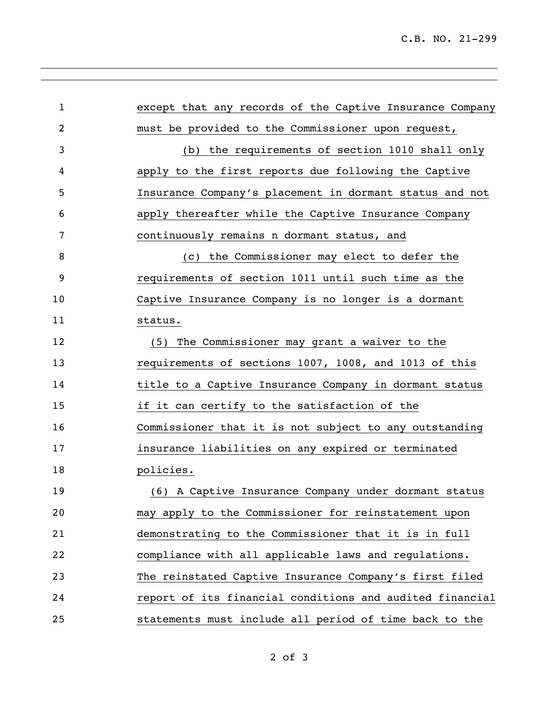| $\mathbf{1}$ | except that any records of the Captive Insurance Company |
|--------------|----------------------------------------------------------|
| 2            | must be provided to the Commissioner upon request,       |
| 3            | (b) the requirements of section 1010 shall only          |
| 4            | apply to the first reports due following the Captive     |
| 5            | Insurance Company's placement in dormant status and not  |
| 6            | apply thereafter while the Captive Insurance Company     |
| 7            | continuously remains n dormant status, and               |
| 8            | (c) the Commissioner may elect to defer the              |
| 9            | requirements of section 1011 until such time as the      |
| 10           | Captive Insurance Company is no longer is a dormant      |
| 11           | status.                                                  |
| 12           | (5) The Commissioner may grant a waiver to the           |
| 13           | requirements of sections 1007, 1008, and 1013 of this    |
| 14           | title to a Captive Insurance Company in dormant status   |
| 15           | if it can certify to the satisfaction of the             |
| 16           | Commissioner that it is not subject to any outstanding   |
| 17           | insurance liabilities on any expired or terminated       |
| 18           | policies.                                                |
| 19           | (6) A Captive Insurance Company under dormant status     |
| 20           | may apply to the Commissioner for reinstatement upon     |
| 21           | demonstrating to the Commissioner that it is in full     |
| 22           | compliance with all applicable laws and regulations.     |
| 23           | The reinstated Captive Insurance Company's first filed   |
| 24           | report of its financial conditions and audited financial |
| 25           | statements must include all period of time back to the   |

,我们也不会有什么。""我们的人,我们也不会有什么?""我们的人,我们也不会有什么?""我们的人,我们也不会有什么?""我们的人,我们也不会有什么?""我们的人